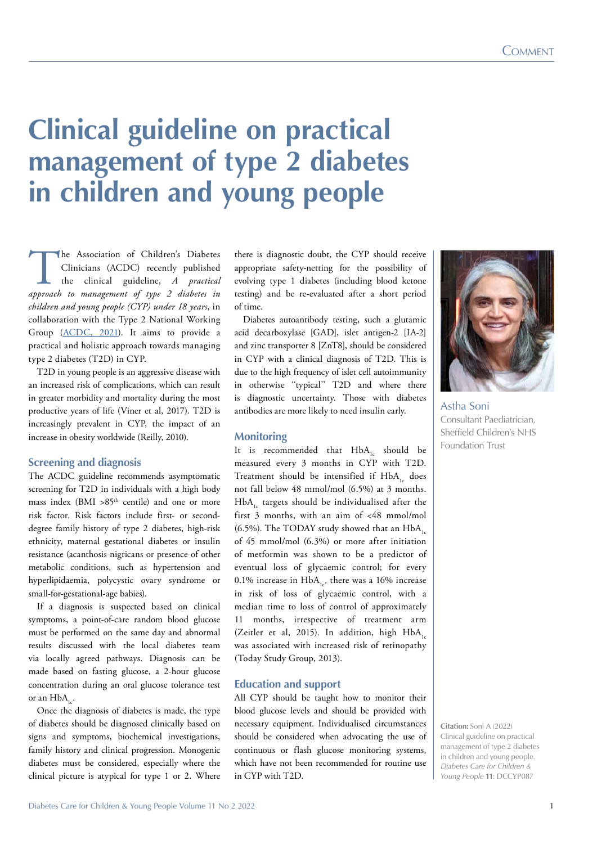# **Clinical guideline on practical management of type 2 diabetes in children and young people**

The Association of Children's Diabetes<br>
Clinicians (ACDC) recently published<br>
the clinical guideline, *A practical*<br> *approach to management of type 2 diabetes in* Clinicians (ACDC) recently published the clinical guideline, *A practical children and young people (CYP) under 18 years*, in collaboration with the Type 2 National Working Group ([ACDC, 2021\)](http://www.a-c-d-c.org/wp-content/uploads/2012/08/TYpe-2-guideline-ACDC-format-publish.pdf). It aims to provide a practical and holistic approach towards managing type 2 diabetes (T2D) in CYP.

T2D in young people is an aggressive disease with an increased risk of complications, which can result in greater morbidity and mortality during the most productive years of life (Viner et al, 2017). T2D is increasingly prevalent in CYP, the impact of an increase in obesity worldwide (Reilly, 2010).

#### **Screening and diagnosis**

The ACDC guideline recommends asymptomatic screening for T2D in individuals with a high body mass index (BMI  $>85$ <sup>th</sup> centile) and one or more risk factor. Risk factors include first- or seconddegree family history of type 2 diabetes, high-risk ethnicity, maternal gestational diabetes or insulin resistance (acanthosis nigricans or presence of other metabolic conditions, such as hypertension and hyperlipidaemia, polycystic ovary syndrome or small-for-gestational-age babies).

If a diagnosis is suspected based on clinical symptoms, a point-of-care random blood glucose must be performed on the same day and abnormal results discussed with the local diabetes team via locally agreed pathways. Diagnosis can be made based on fasting glucose, a 2-hour glucose concentration during an oral glucose tolerance test or an  $HbA_{1c}$ .

Once the diagnosis of diabetes is made, the type of diabetes should be diagnosed clinically based on signs and symptoms, biochemical investigations, family history and clinical progression. Monogenic diabetes must be considered, especially where the clinical picture is atypical for type 1 or 2. Where

there is diagnostic doubt, the CYP should receive appropriate safety-netting for the possibility of evolving type 1 diabetes (including blood ketone testing) and be re-evaluated after a short period of time.

Diabetes autoantibody testing, such a glutamic acid decarboxylase [GAD], islet antigen-2 [IA-2] and zinc transporter 8 [ZnT8], should be considered in CYP with a clinical diagnosis of T2D. This is due to the high frequency of islet cell autoimmunity in otherwise "typical" T2D and where there is diagnostic uncertainty. Those with diabetes antibodies are more likely to need insulin early.

#### **Monitoring**

It is recommended that  $HbA_{1c}$  should be measured every 3 months in CYP with T2D. Treatment should be intensified if  $HbA<sub>1c</sub>$  does not fall below 48 mmol/mol (6.5%) at 3 months. HbA<sub>1</sub> targets should be individualised after the first 3 months, with an aim of <48 mmol/mol (6.5%). The TODAY study showed that an  $HbA<sub>1c</sub>$ of 45 mmol/mol (6.3%) or more after initiation of metformin was shown to be a predictor of eventual loss of glycaemic control; for every 0.1% increase in  $HbA_{1c}$ , there was a 16% increase in risk of loss of glycaemic control, with a median time to loss of control of approximately 11 months, irrespective of treatment arm (Zeitler et al, 2015). In addition, high HbA, was associated with increased risk of retinopathy (Today Study Group, 2013).

# **Education and support**

All CYP should be taught how to monitor their blood glucose levels and should be provided with necessary equipment. Individualised circumstances should be considered when advocating the use of continuous or flash glucose monitoring systems, which have not been recommended for routine use in CYP with T2D.



Astha Soni Consultant Paediatrician, Sheffield Children's NHS Foundation Trust

**Citation:** Soni A (2022) Clinical guideline on practical management of type 2 diabetes in children and young people. *Diabetes Care for Children & Young People* **11**: DCCYP087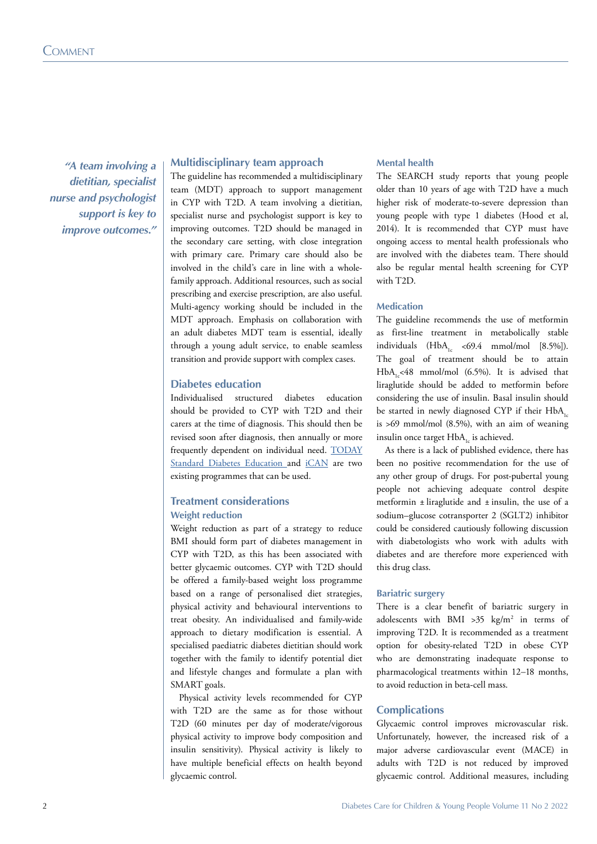*"A team involving a dietitian, specialist nurse and psychologist support is key to improve outcomes."*

## **Multidisciplinary team approach**

The guideline has recommended a multidisciplinary team (MDT) approach to support management in CYP with T2D. A team involving a dietitian, specialist nurse and psychologist support is key to improving outcomes. T2D should be managed in the secondary care setting, with close integration with primary care. Primary care should also be involved in the child's care in line with a wholefamily approach. Additional resources, such as social prescribing and exercise prescription, are also useful. Multi-agency working should be included in the MDT approach. Emphasis on collaboration with an adult diabetes MDT team is essential, ideally through a young adult service, to enable seamless transition and provide support with complex cases.

# **Diabetes education**

Individualised structured diabetes education should be provided to CYP with T2D and their carers at the time of diagnosis. This should then be revised soon after diagnosis, then annually or more frequently dependent on individual need. [TODAY](https://today.bsc.gwu.edu/home) [Standard Diabetes Education](https://today.bsc.gwu.edu/home) and [iCAN](https://www.leicestershospitals.nhs.uk/aboutus/our-news/press-release-centre-archive/?EntryId8=63569) are two existing programmes that can be used.

# **Treatment considerations**

#### **Weight reduction**

Weight reduction as part of a strategy to reduce BMI should form part of diabetes management in CYP with T2D, as this has been associated with better glycaemic outcomes. CYP with T2D should be offered a family-based weight loss programme based on a range of personalised diet strategies, physical activity and behavioural interventions to treat obesity. An individualised and family-wide approach to dietary modification is essential. A specialised paediatric diabetes dietitian should work together with the family to identify potential diet and lifestyle changes and formulate a plan with SMART goals.

Physical activity levels recommended for CYP with T2D are the same as for those without T2D (60 minutes per day of moderate/vigorous physical activity to improve body composition and insulin sensitivity). Physical activity is likely to have multiple beneficial effects on health beyond glycaemic control.

# **Mental health**

The SEARCH study reports that young people older than 10 years of age with T2D have a much higher risk of moderate-to-severe depression than young people with type 1 diabetes (Hood et al, 2014). It is recommended that CYP must have ongoing access to mental health professionals who are involved with the diabetes team. There should also be regular mental health screening for CYP with T2D.

#### **Medication**

The guideline recommends the use of metformin as first-line treatment in metabolically stable individuals  $(HbA, \leq 69.4 \text{ mmol/mol}$  [8.5%]). The goal of treatment should be to attain HbA<sub>15</sub><48 mmol/mol (6.5%). It is advised that liraglutide should be added to metformin before considering the use of insulin. Basal insulin should be started in newly diagnosed CYP if their  $HbA$ <sub>1c</sub> is >69 mmol/mol (8.5%), with an aim of weaning insulin once target HbA<sub>1</sub> is achieved.

As there is a lack of published evidence, there has been no positive recommendation for the use of any other group of drugs. For post-pubertal young people not achieving adequate control despite metformin  $\pm$  liraglutide and  $\pm$  insulin, the use of a sodium–glucose cotransporter 2 (SGLT2) inhibitor could be considered cautiously following discussion with diabetologists who work with adults with diabetes and are therefore more experienced with this drug class.

#### **Bariatric surgery**

There is a clear benefit of bariatric surgery in adolescents with BMI >35  $\text{kg/m}^2$  in terms of improving T2D. It is recommended as a treatment option for obesity-related T2D in obese CYP who are demonstrating inadequate response to pharmacological treatments within 12–18 months, to avoid reduction in beta-cell mass.

#### **Complications**

Glycaemic control improves microvascular risk. Unfortunately, however, the increased risk of a major adverse cardiovascular event (MACE) in adults with T2D is not reduced by improved glycaemic control. Additional measures, including